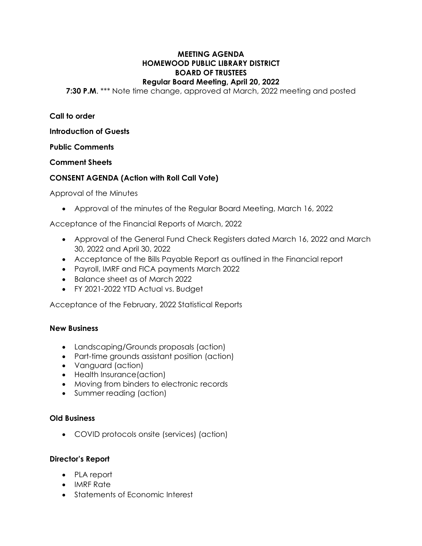### **MEETING AGENDA HOMEWOOD PUBLIC LIBRARY DISTRICT BOARD OF TRUSTEES Regular Board Meeting, April 20, 2022**

**7:30 P.M**. \*\*\* Note time change, approved at March, 2022 meeting and posted

**Call to order**

**Introduction of Guests**

**Public Comments**

**Comment Sheets**

# **CONSENT AGENDA (Action with Roll Call Vote)**

Approval of the Minutes

• Approval of the minutes of the Regular Board Meeting, March 16, 2022

Acceptance of the Financial Reports of March, 2022

- Approval of the General Fund Check Registers dated March 16, 2022 and March 30, 2022 and April 30, 2022
- Acceptance of the Bills Payable Report as outlined in the Financial report
- Payroll, IMRF and FICA payments March 2022
- Balance sheet as of March 2022
- FY 2021-2022 YTD Actual vs. Budget

Acceptance of the February, 2022 Statistical Reports

## **New Business**

- Landscaping/Grounds proposals (action)
- Part-time grounds assistant position (action)
- Vanguard (action)
- Health Insurance(action)
- Moving from binders to electronic records
- Summer reading (action)

## **Old Business**

• COVID protocols onsite (services) (action)

## **Director's Report**

- PLA report
- IMRF Rate
- Statements of Economic Interest